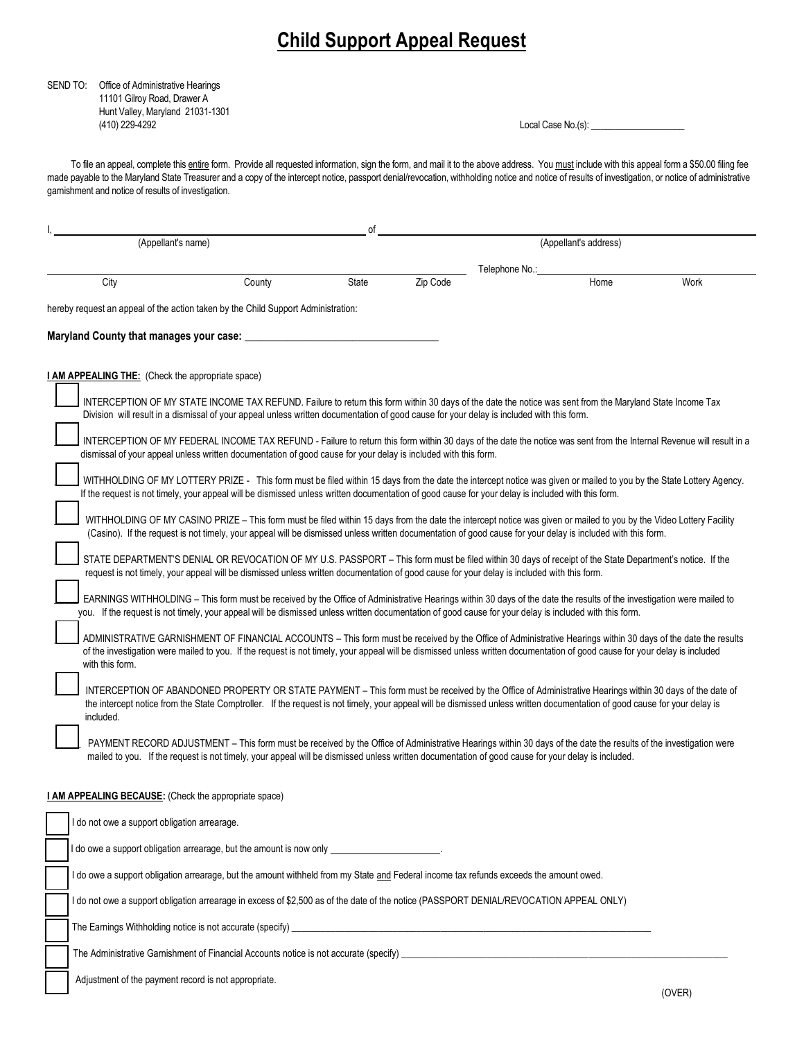# **Child Support Appeal Request**

## SEND TO: Office of Administrative Hearings 11101 Gilroy Road, Drawer A Hunt Valley, Maryland 21031-1301 (410) 229-4292 Local Case No.(s): \_

To file an appeal, complete this entire form. Provide all requested information, sign the form, and mail it to the above address. You must include with this appeal form a \$50.00 filing fee made payable to the Maryland State Treasurer and a copy of the intercept notice, passport denial/revocation, withholding notice and notice of results of investigation, or notice of administrative garnishment and notice of results of investigation.

|                                                                                                                                                               |                                                                                                                                                                       |                                                                                                                                                                                                                                                                                                                                      | οf           |          |                |                       |      |
|---------------------------------------------------------------------------------------------------------------------------------------------------------------|-----------------------------------------------------------------------------------------------------------------------------------------------------------------------|--------------------------------------------------------------------------------------------------------------------------------------------------------------------------------------------------------------------------------------------------------------------------------------------------------------------------------------|--------------|----------|----------------|-----------------------|------|
|                                                                                                                                                               | (Appellant's name)                                                                                                                                                    |                                                                                                                                                                                                                                                                                                                                      |              |          |                | (Appellant's address) |      |
|                                                                                                                                                               |                                                                                                                                                                       |                                                                                                                                                                                                                                                                                                                                      |              |          | Telephone No.: |                       |      |
|                                                                                                                                                               | City                                                                                                                                                                  | County                                                                                                                                                                                                                                                                                                                               | <b>State</b> | Zip Code |                | Home                  | Work |
|                                                                                                                                                               | hereby request an appeal of the action taken by the Child Support Administration:                                                                                     |                                                                                                                                                                                                                                                                                                                                      |              |          |                |                       |      |
|                                                                                                                                                               |                                                                                                                                                                       |                                                                                                                                                                                                                                                                                                                                      |              |          |                |                       |      |
|                                                                                                                                                               | Maryland County that manages your case:                                                                                                                               |                                                                                                                                                                                                                                                                                                                                      |              |          |                |                       |      |
|                                                                                                                                                               |                                                                                                                                                                       |                                                                                                                                                                                                                                                                                                                                      |              |          |                |                       |      |
|                                                                                                                                                               | <b>I AM APPEALING THE:</b> (Check the appropriate space)                                                                                                              |                                                                                                                                                                                                                                                                                                                                      |              |          |                |                       |      |
|                                                                                                                                                               |                                                                                                                                                                       | INTERCEPTION OF MY STATE INCOME TAX REFUND. Failure to return this form within 30 days of the date the notice was sent from the Maryland State Income Tax                                                                                                                                                                            |              |          |                |                       |      |
|                                                                                                                                                               |                                                                                                                                                                       | Division will result in a dismissal of your appeal unless written documentation of good cause for your delay is included with this form.                                                                                                                                                                                             |              |          |                |                       |      |
|                                                                                                                                                               | INTERCEPTION OF MY FEDERAL INCOME TAX REFUND - Failure to return this form within 30 days of the date the notice was sent from the Internal Revenue will result in a  |                                                                                                                                                                                                                                                                                                                                      |              |          |                |                       |      |
|                                                                                                                                                               | dismissal of your appeal unless written documentation of good cause for your delay is included with this form.                                                        |                                                                                                                                                                                                                                                                                                                                      |              |          |                |                       |      |
|                                                                                                                                                               | WITHHOLDING OF MY LOTTERY PRIZE - This form must be filed within 15 days from the date the intercept notice was given or mailed to you by the State Lottery Agency.   |                                                                                                                                                                                                                                                                                                                                      |              |          |                |                       |      |
|                                                                                                                                                               | If the request is not timely, your appeal will be dismissed unless written documentation of good cause for your delay is included with this form.                     |                                                                                                                                                                                                                                                                                                                                      |              |          |                |                       |      |
|                                                                                                                                                               | WITHHOLDING OF MY CASINO PRIZE – This form must be filed within 15 days from the date the intercept notice was given or mailed to you by the Video Lottery Facility   |                                                                                                                                                                                                                                                                                                                                      |              |          |                |                       |      |
|                                                                                                                                                               | (Casino). If the request is not timely, your appeal will be dismissed unless written documentation of good cause for your delay is included with this form.           |                                                                                                                                                                                                                                                                                                                                      |              |          |                |                       |      |
|                                                                                                                                                               | STATE DEPARTMENT'S DENIAL OR REVOCATION OF MY U.S. PASSPORT - This form must be filed within 30 days of receipt of the State Department's notice. If the              |                                                                                                                                                                                                                                                                                                                                      |              |          |                |                       |      |
|                                                                                                                                                               |                                                                                                                                                                       | request is not timely, your appeal will be dismissed unless written documentation of good cause for your delay is included with this form.                                                                                                                                                                                           |              |          |                |                       |      |
|                                                                                                                                                               | EARNINGS WITHHOLDING – This form must be received by the Office of Administrative Hearings within 30 days of the date the results of the investigation were mailed to |                                                                                                                                                                                                                                                                                                                                      |              |          |                |                       |      |
|                                                                                                                                                               | you. If the request is not timely, your appeal will be dismissed unless written documentation of good cause for your delay is included with this form.                |                                                                                                                                                                                                                                                                                                                                      |              |          |                |                       |      |
| ADMINISTRATIVE GARNISHMENT OF FINANCIAL ACCOUNTS - This form must be received by the Office of Administrative Hearings within 30 days of the date the results |                                                                                                                                                                       |                                                                                                                                                                                                                                                                                                                                      |              |          |                |                       |      |
|                                                                                                                                                               | with this form.                                                                                                                                                       | of the investigation were mailed to you. If the request is not timely, your appeal will be dismissed unless written documentation of good cause for your delay is included                                                                                                                                                           |              |          |                |                       |      |
|                                                                                                                                                               |                                                                                                                                                                       |                                                                                                                                                                                                                                                                                                                                      |              |          |                |                       |      |
|                                                                                                                                                               |                                                                                                                                                                       | INTERCEPTION OF ABANDONED PROPERTY OR STATE PAYMENT – This form must be received by the Office of Administrative Hearings within 30 days of the date of<br>the intercept notice from the State Comptroller. If the request is not timely, your appeal will be dismissed unless written documentation of good cause for your delay is |              |          |                |                       |      |
|                                                                                                                                                               | included.                                                                                                                                                             |                                                                                                                                                                                                                                                                                                                                      |              |          |                |                       |      |
|                                                                                                                                                               |                                                                                                                                                                       | PAYMENT RECORD ADJUSTMENT – This form must be received by the Office of Administrative Hearings within 30 days of the date the results of the investigation were                                                                                                                                                                     |              |          |                |                       |      |
|                                                                                                                                                               |                                                                                                                                                                       | mailed to you. If the request is not timely, your appeal will be dismissed unless written documentation of good cause for your delay is included.                                                                                                                                                                                    |              |          |                |                       |      |
|                                                                                                                                                               |                                                                                                                                                                       |                                                                                                                                                                                                                                                                                                                                      |              |          |                |                       |      |
|                                                                                                                                                               | <b>I AM APPEALING BECAUSE:</b> (Check the appropriate space)                                                                                                          |                                                                                                                                                                                                                                                                                                                                      |              |          |                |                       |      |
|                                                                                                                                                               | I do not owe a support obligation arrearage.                                                                                                                          |                                                                                                                                                                                                                                                                                                                                      |              |          |                |                       |      |
|                                                                                                                                                               |                                                                                                                                                                       |                                                                                                                                                                                                                                                                                                                                      |              |          |                |                       |      |
|                                                                                                                                                               | I do owe a support obligation arrearage, but the amount is now only                                                                                                   |                                                                                                                                                                                                                                                                                                                                      |              |          |                |                       |      |
|                                                                                                                                                               | I do owe a support obligation arrearage, but the amount withheld from my State <u>and</u> Federal income tax refunds exceeds the amount owed.                         |                                                                                                                                                                                                                                                                                                                                      |              |          |                |                       |      |
|                                                                                                                                                               | do not owe a support obligation arrearage in excess of \$2,500 as of the date of the notice (PASSPORT DENIAL/REVOCATION APPEAL ONLY)                                  |                                                                                                                                                                                                                                                                                                                                      |              |          |                |                       |      |

The Earnings Withholding notice is not accurate (specify) \_

The Administrative Garnishment of Financial Accounts notice is not accurate (specify) \_

Adjustment of the payment record is not appropriate.